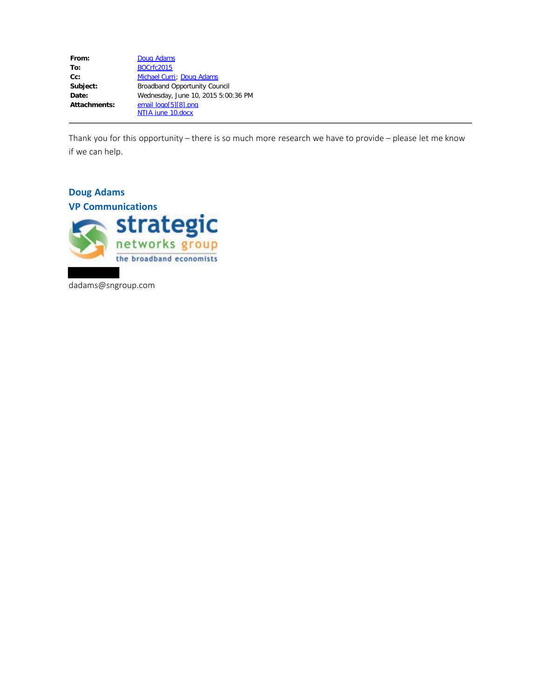| From:        | Doug Adams                           |
|--------------|--------------------------------------|
| To:          | <b>BOCrfc2015</b>                    |
| $Cc$ :       | Michael Curri; Doug Adams            |
| Subject:     | <b>Broadband Opportunity Council</b> |
| Date:        | Wednesday, June 10, 2015 5:00:36 PM  |
| Attachments: | email logo[5][8].png                 |
|              | NTIA june 10.docx                    |

Thank you for this opportunity – there is so much more research we have to provide – please let me know if we can help.

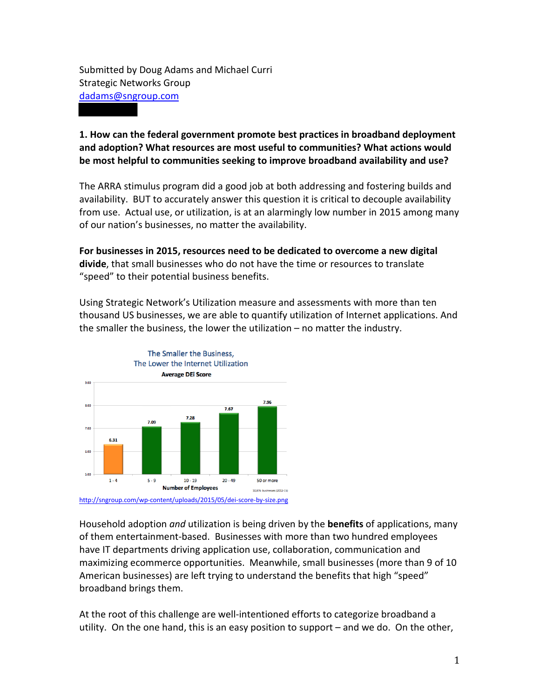Submitted by Doug Adams and Michael Curri Strategic Networks Group dadams@sngroup.com

## **1. How can the federal government promote best practices in broadband deployment and adoption? What resources are most useful to communities? What actions would be most helpful to communities seeking to improve broadband availability and use?**

The ARRA stimulus program did a good job at both addressing and fostering builds and availability. BUT to accurately answer this question it is critical to decouple availability from use. Actual use, or utilization, is at an alarmingly low number in 2015 among many of our nation's businesses, no matter the availability.

**For businesses in 2015, resources need to be dedicated to overcome a new digital divide**, that small businesses who do not have the time or resources to translate "speed" to their potential business benefits.

Using Strategic Network's Utilization measure and assessments with more than ten thousand US businesses, we are able to quantify utilization of Internet applications. And the smaller the business, the lower the utilization – no matter the industry.



<http://sngroup.com/wp-content/uploads/2015/05/dei-score-by-size.png>

Household adoption *and* utilization is being driven by the **benefits** of applications, many of them entertainment-based. Businesses with more than two hundred employees have IT departments driving application use, collaboration, communication and maximizing ecommerce opportunities. Meanwhile, small businesses (more than 9 of 10 American businesses) are left trying to understand the benefits that high "speed" broadband brings them.

At the root of this challenge are well-intentioned efforts to categorize broadband a utility. On the one hand, this is an easy position to support – and we do. On the other,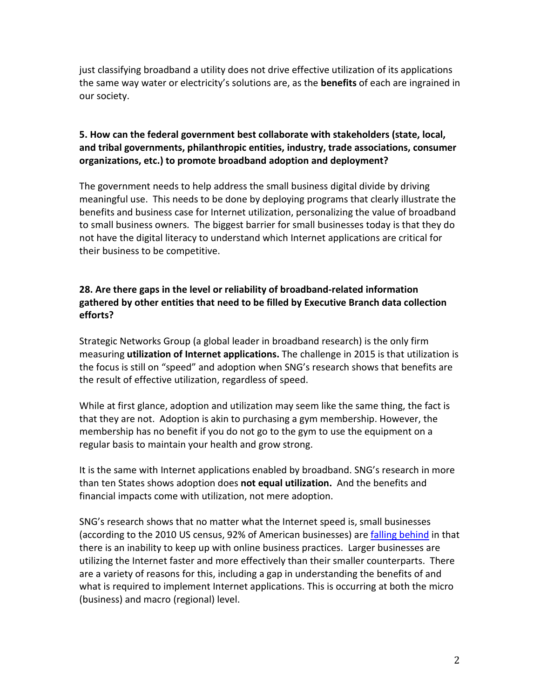just classifying broadband a utility does not drive effective utilization of its applications the same way water or electricity's solutions are, as the **benefits** of each are ingrained in our society.

## **5. How can the federal government best collaborate with stakeholders (state, local, and tribal governments, philanthropic entities, industry, trade associations, consumer organizations, etc.) to promote broadband adoption and deployment?**

The government needs to help address the small business digital divide by driving meaningful use. This needs to be done by deploying programs that clearly illustrate the benefits and business case for Internet utilization, personalizing the value of broadband to small business owners. The biggest barrier for small businesses today is that they do not have the digital literacy to understand which Internet applications are critical for their business to be competitive.

## **28. Are there gaps in the level or reliability of broadband-related information gathered by other entities that need to be filled by Executive Branch data collection efforts?**

Strategic Networks Group (a global leader in broadband research) is the only firm measuring **utilization of Internet applications.** The challenge in 2015 is that utilization is the focus is still on "speed" and adoption when SNG's research shows that benefits are the result of effective utilization, regardless of speed.

While at first glance, adoption and utilization may seem like the same thing, the fact is that they are not. Adoption is akin to purchasing a gym membership. However, the membership has no benefit if you do not go to the gym to use the equipment on a regular basis to maintain your health and grow strong.

It is the same with Internet applications enabled by broadband. SNG's research in more than ten States shows adoption does **not equal utilization.** And the benefits and financial impacts come with utilization, not mere adoption.

SNG's research shows that no matter what the Internet speed is, small businesses (according to the 2010 US census, 92% of American businesses) are [falling behind](http://sngroup.com/wp-content/uploads/2015/05/dei-score-by-size.png) in that there is an inability to keep up with online business practices. Larger businesses are utilizing the Internet faster and more effectively than their smaller counterparts. There are a variety of reasons for this, including a gap in understanding the benefits of and what is required to implement Internet applications. This is occurring at both the micro (business) and macro (regional) level.